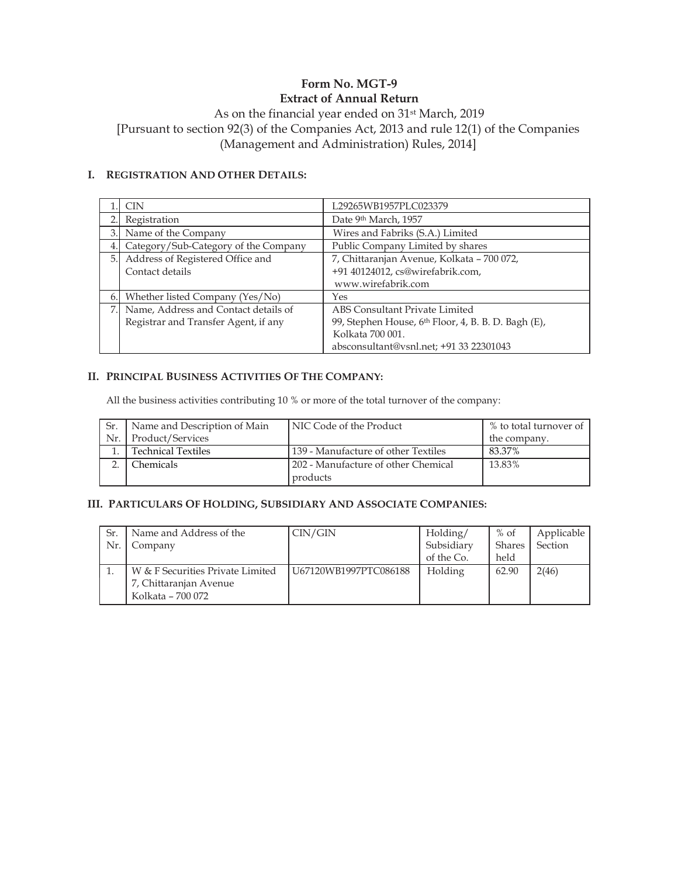### Form No. MGT-9 Extract of Annual Return

### As on the financial year ended on 31st March, 2019 [Pursuant to section 92(3) of the Companies Act, 2013 and rule 12(1) of the Companies (Management and Administration) Rules, 2014]

### I. REGISTRATION AND OTHER DETAILS:

|    | CIN                                  | L29265WB1957PLC023379                                           |  |  |  |  |
|----|--------------------------------------|-----------------------------------------------------------------|--|--|--|--|
|    | Registration                         | Date 9th March, 1957                                            |  |  |  |  |
| 3. | Name of the Company                  | Wires and Fabriks (S.A.) Limited                                |  |  |  |  |
| 4. | Category/Sub-Category of the Company | Public Company Limited by shares                                |  |  |  |  |
| 5. | Address of Registered Office and     | 7, Chittaranjan Avenue, Kolkata - 700 072,                      |  |  |  |  |
|    | Contact details                      | +91 40124012, cs@wirefabrik.com,                                |  |  |  |  |
|    |                                      | www.wirefabrik.com                                              |  |  |  |  |
| 6. | Whether listed Company (Yes/No)      | Yes                                                             |  |  |  |  |
|    | Name, Address and Contact details of | ABS Consultant Private Limited                                  |  |  |  |  |
|    | Registrar and Transfer Agent, if any | 99, Stephen House, 6 <sup>th</sup> Floor, 4, B. B. D. Bagh (E), |  |  |  |  |
|    |                                      | Kolkata 700 001.                                                |  |  |  |  |
|    |                                      | absconsultant@vsnl.net; +91 33 22301043                         |  |  |  |  |

#### II. PRINCIPAL BUSINESS ACTIVITIES OF THE COMPANY:

All the business activities contributing 10 % or more of the total turnover of the company:

| Sr. | Name and Description of Main | NIC Code of the Product             | % to total turnover of |
|-----|------------------------------|-------------------------------------|------------------------|
| Nr. | Product/Services             |                                     | the company.           |
|     | <b>Technical Textiles</b>    | 139 - Manufacture of other Textiles | 83.37%                 |
|     | Chemicals                    | 202 - Manufacture of other Chemical | 13.83%                 |
|     |                              | products                            |                        |

#### III. PARTICULARS OF HOLDING, SUBSIDIARY AND ASSOCIATE COMPANIES:

| Nr. | Name and Address of the<br>Company                                              | CIN/GIN               | Holding/<br>Subsidiary<br>of the Co. | $%$ of<br>Shares<br>held | Applicable<br>Section |
|-----|---------------------------------------------------------------------------------|-----------------------|--------------------------------------|--------------------------|-----------------------|
|     | W & F Securities Private Limited<br>7, Chittaranjan Avenue<br>Kolkata – 700 072 | U67120WB1997PTC086188 | Holding                              | 62.90                    | 2(46)                 |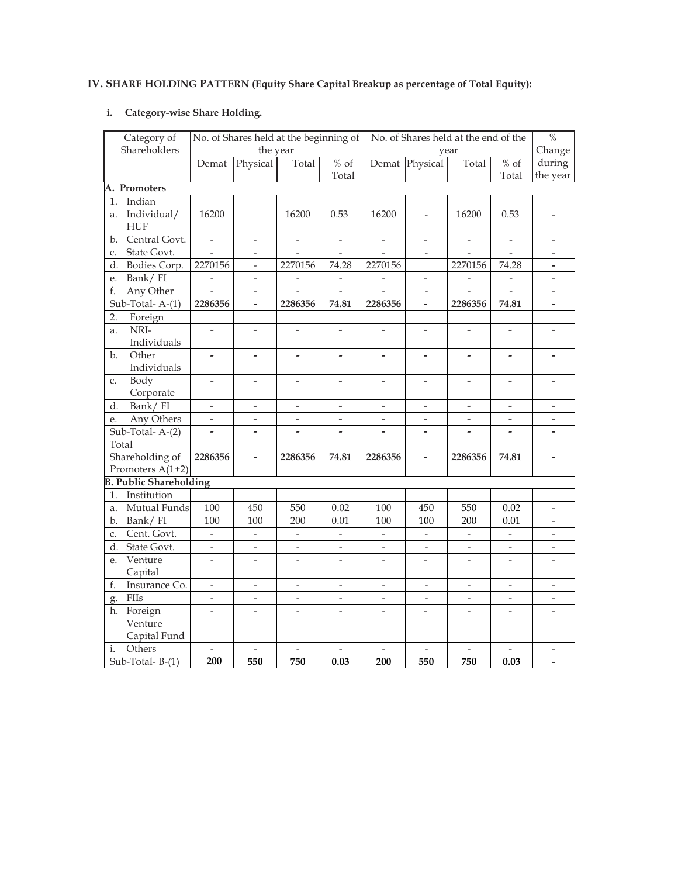# IV. SHARE HOLDING PATTERN (Equity Share Capital Breakup as percentage of Total Equity):

## i. Category-wise Share Holding.

|                | Category of                   |                              |                              | No. of Shares held at the beginning of |                              |                          |                          | No. of Shares held at the end of the |                          | $\frac{0}{2}$            |
|----------------|-------------------------------|------------------------------|------------------------------|----------------------------------------|------------------------------|--------------------------|--------------------------|--------------------------------------|--------------------------|--------------------------|
|                | Shareholders                  |                              | the year                     |                                        |                              |                          |                          | year                                 |                          | Change                   |
|                |                               | Demat                        | Physical                     | Total                                  | $%$ of                       |                          | Demat Physical           | Total                                | $%$ of                   | during                   |
|                |                               |                              |                              |                                        | Total                        |                          |                          |                                      | Total                    | the year                 |
|                | A. Promoters                  |                              |                              |                                        |                              |                          |                          |                                      |                          |                          |
| 1.             | Indian                        |                              |                              |                                        |                              |                          |                          |                                      |                          |                          |
| a.             | Individual/                   | 16200                        |                              | 16200                                  | 0.53                         | 16200                    | $\overline{a}$           | 16200                                | 0.53                     |                          |
|                | <b>HUF</b>                    |                              |                              |                                        |                              |                          |                          |                                      |                          |                          |
| b.             | Central Govt.                 | $\overline{\phantom{a}}$     | $\qquad \qquad -$            | $\overline{\phantom{a}}$               | $\qquad \qquad -$            | $\overline{\phantom{a}}$ | $\qquad \qquad -$        | $\qquad \qquad -$                    | $\qquad \qquad -$        | $\qquad \qquad -$        |
| C.             | State Govt.                   | $\overline{a}$               | $\overline{a}$               | $\overline{\phantom{a}}$               | $\overline{a}$               | $\overline{a}$           | $\overline{\phantom{a}}$ | $\overline{a}$                       | $\overline{\phantom{0}}$ | $\overline{\phantom{0}}$ |
|                | d. Bodies Corp.               | 2270156                      | $\overline{a}$               | 2270156                                | 74.28                        | 2270156                  |                          | 2270156                              | 74.28                    | $\overline{\phantom{0}}$ |
| e.             | Bank/FI                       | $\overline{\phantom{a}}$     | $\overline{\phantom{0}}$     | $\overline{\phantom{a}}$               | $\overline{a}$               | $\overline{a}$           | $\overline{a}$           | $\frac{1}{2}$                        | $\overline{\phantom{a}}$ | $\overline{a}$           |
| f.             | Any Other                     | $\overline{\phantom{a}}$     | $\overline{\phantom{a}}$     | $\overline{\phantom{a}}$               | $\overline{a}$               | $\overline{\phantom{0}}$ | $\overline{\phantom{a}}$ | $\overline{\phantom{0}}$             | $\frac{1}{2}$            | $\bar{\phantom{a}}$      |
|                | $Sub-Total- A-(1)$            | 2286356                      | -                            | 2286356                                | 74.81                        | 2286356                  |                          | 2286356                              | 74.81                    | $\overline{\phantom{0}}$ |
| 2.             | Foreign                       |                              |                              |                                        |                              |                          |                          |                                      |                          |                          |
| a.             | NRI-                          | $\overline{a}$               | -                            |                                        |                              |                          |                          |                                      |                          |                          |
|                | Individuals                   |                              |                              |                                        |                              |                          |                          |                                      |                          |                          |
| b.             | Other                         | $\frac{1}{2}$                | $\qquad \qquad \blacksquare$ | $\overline{\phantom{a}}$               | $\qquad \qquad \blacksquare$ | $\overline{\phantom{m}}$ | $\overline{\phantom{0}}$ | $\overline{\phantom{0}}$             | $\overline{\phantom{m}}$ | $\overline{\phantom{0}}$ |
|                | Individuals                   |                              |                              |                                        |                              |                          |                          |                                      |                          |                          |
| C.             | Body                          | $\overline{a}$               | -                            |                                        |                              |                          | $\overline{\phantom{0}}$ | $\overline{\phantom{a}}$             |                          |                          |
|                | Corporate                     |                              |                              |                                        |                              |                          |                          |                                      |                          |                          |
| d.             | Bank/FI                       | $\qquad \qquad \blacksquare$ | $\overline{\phantom{a}}$     | $\overline{\phantom{m}}$               | $\overline{\phantom{m}}$     | $\overline{\phantom{m}}$ | $\overline{\phantom{m}}$ | $\overline{\phantom{a}}$             | $\overline{\phantom{a}}$ | $\overline{\phantom{0}}$ |
| e.             | Any Others                    | $\overline{\phantom{a}}$     | $\overline{\phantom{0}}$     | $\overline{\phantom{a}}$               | $\overline{\phantom{0}}$     | $\overline{\phantom{a}}$ | $\overline{\phantom{0}}$ | $\overline{\phantom{a}}$             | $\overline{\phantom{a}}$ | $\overline{\phantom{0}}$ |
|                | Sub-Total-A-(2)               |                              | $\overline{a}$               | $\overline{a}$                         | $\overline{a}$               | $\overline{a}$           |                          | $\overline{a}$                       | $\overline{a}$           |                          |
| Total          |                               |                              |                              |                                        |                              |                          |                          |                                      |                          |                          |
|                | Shareholding of               | 2286356                      | $\overline{\phantom{0}}$     | 2286356                                | 74.81                        | 2286356                  | $\overline{\phantom{0}}$ | 2286356                              | 74.81                    |                          |
|                | Promoters A(1+2)              |                              |                              |                                        |                              |                          |                          |                                      |                          |                          |
|                | <b>B. Public Shareholding</b> |                              |                              |                                        |                              |                          |                          |                                      |                          |                          |
| 1.1            | Institution                   |                              |                              |                                        |                              |                          |                          |                                      |                          |                          |
| a.             | Mutual Funds                  | $\overline{1}00$             | 450                          | 550                                    | 0.02                         | 100                      | 450                      | 550                                  | 0.02                     | $\frac{1}{2}$            |
| b.             | Bank/FI                       | 100                          | 100                          | 200                                    | 0.01                         | 100                      | 100                      | 200                                  | 0.01                     | $\overline{\phantom{m}}$ |
| C <sub>1</sub> | Cent. Govt.                   | $\overline{\phantom{a}}$     | $\overline{a}$               | $\overline{\phantom{a}}$               | $\overline{\phantom{0}}$     | $\frac{1}{2}$            | $\overline{\phantom{a}}$ | $\overline{\phantom{a}}$             | $\overline{\phantom{a}}$ | $\overline{\phantom{a}}$ |
| d.             | State Govt.                   | $\overline{a}$               | $\overline{a}$               | $\overline{a}$                         | $\overline{a}$               | $\overline{\phantom{m}}$ | $\overline{a}$           | $\overline{\phantom{m}}$             | $\frac{1}{2}$            | $\overline{a}$           |
| e.             | Venture                       | $\overline{a}$               | $\overline{a}$               | $\overline{a}$                         | $\overline{a}$               | $\overline{a}$           | $\overline{a}$           |                                      | $\overline{a}$           |                          |
|                | Capital                       |                              |                              |                                        |                              |                          |                          |                                      |                          |                          |
| f.             | Insurance Co.                 | $\overline{\phantom{a}}$     | $\frac{1}{2}$                | $\frac{1}{2}$                          | $\overline{\phantom{a}}$     | $\overline{\phantom{a}}$ | $\overline{\phantom{a}}$ | $\overline{\phantom{m}}$             | $\overline{\phantom{a}}$ | $\bar{\phantom{a}}$      |
| g.             | <b>FIIs</b>                   | $\overline{\phantom{a}}$     | $\overline{a}$               | $\overline{\phantom{0}}$               | $\overline{a}$               | $\overline{\phantom{m}}$ | $\overline{\phantom{a}}$ | $\overline{\phantom{a}}$             | $\overline{a}$           | $\overline{\phantom{0}}$ |
| h.             | Foreign                       |                              |                              |                                        |                              |                          |                          |                                      |                          |                          |
|                | Venture                       |                              |                              |                                        |                              |                          |                          |                                      |                          |                          |
|                | Capital Fund                  |                              |                              |                                        |                              |                          |                          |                                      |                          |                          |
| i.             | Others                        | $\overline{\phantom{a}}$     | $\overline{\phantom{m}}$     | $\overline{\phantom{a}}$               | $\overline{\phantom{0}}$     | $\overline{\phantom{m}}$ | $\overline{\phantom{a}}$ |                                      | $\frac{1}{2}$            | $\overline{\phantom{a}}$ |
|                | Sub-Total-B-(1)               | $\overline{200}$             | 550                          | 750                                    | 0.03                         | 200                      | 550                      | 750                                  | 0.03                     |                          |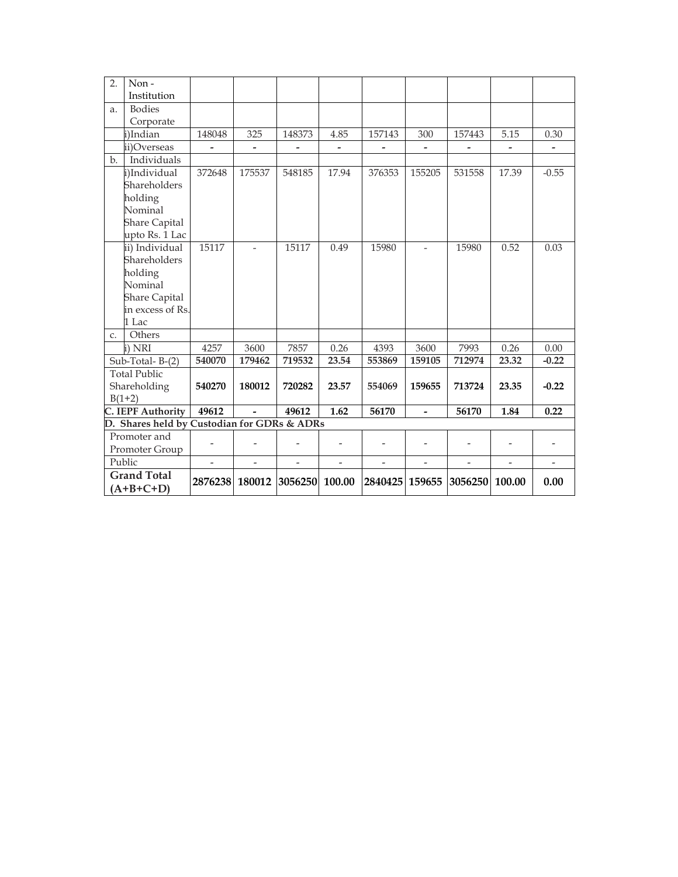| 2.          | Non-                                        |                          |                |         |                   |                          |                          |         |                |                |
|-------------|---------------------------------------------|--------------------------|----------------|---------|-------------------|--------------------------|--------------------------|---------|----------------|----------------|
|             | Institution                                 |                          |                |         |                   |                          |                          |         |                |                |
| a.          | <b>Bodies</b>                               |                          |                |         |                   |                          |                          |         |                |                |
|             | Corporate                                   |                          |                |         |                   |                          |                          |         |                |                |
|             | i)Indian                                    | 148048                   | 325            | 148373  | 4.85              | 157143                   | 300                      | 157443  | 5.15           | 0.30           |
|             | ii)Overseas                                 |                          |                |         |                   |                          |                          |         |                |                |
| b.          | Individuals                                 |                          |                |         |                   |                          |                          |         |                |                |
|             | i)Individual                                | 372648                   | 175537         | 548185  | 17.94             | 376353                   | 155205                   | 531558  | 17.39          | $-0.55$        |
|             | Shareholders                                |                          |                |         |                   |                          |                          |         |                |                |
|             | holding                                     |                          |                |         |                   |                          |                          |         |                |                |
|             | Nominal                                     |                          |                |         |                   |                          |                          |         |                |                |
|             | <b>Share Capital</b>                        |                          |                |         |                   |                          |                          |         |                |                |
|             | upto Rs. 1 Lac                              |                          |                |         |                   |                          |                          |         |                |                |
|             | ii) Individual                              | 15117                    |                | 15117   | 0.49              | 15980                    | $\overline{a}$           | 15980   | 0.52           | 0.03           |
|             | Shareholders                                |                          |                |         |                   |                          |                          |         |                |                |
|             | holding                                     |                          |                |         |                   |                          |                          |         |                |                |
|             | Nominal                                     |                          |                |         |                   |                          |                          |         |                |                |
|             | <b>Share Capital</b>                        |                          |                |         |                   |                          |                          |         |                |                |
|             | in excess of Rs.                            |                          |                |         |                   |                          |                          |         |                |                |
|             | 1 Lac                                       |                          |                |         |                   |                          |                          |         |                |                |
| $C_{\star}$ | Others                                      |                          |                |         |                   |                          |                          |         |                |                |
|             | i) NRI                                      | 4257                     | 3600           | 7857    | 0.26              | 4393                     | 3600                     | 7993    | 0.26           | 0.00           |
|             | Sub-Total-B- $\overline{(2)}$               | 540070                   | 179462         | 719532  | 23.54             | 553869                   | 159105                   | 712974  | 23.32          | $-0.22$        |
|             | <b>Total Public</b>                         |                          |                |         |                   |                          |                          |         |                |                |
|             | Shareholding                                | 540270                   | 180012         | 720282  | 23.57             | 554069                   | 159655                   | 713724  | 23.35          | $-0.22$        |
|             | $B(1+2)$                                    |                          |                |         |                   |                          |                          |         |                |                |
|             | <b>C. IEPF Authority</b>                    | 49612                    | $\overline{a}$ | 49612   | $\overline{1.62}$ | 56170                    | $\overline{\phantom{0}}$ | 56170   | 1.84           | 0.22           |
|             | D. Shares held by Custodian for GDRs & ADRs |                          |                |         |                   |                          |                          |         |                |                |
|             | Promoter and                                |                          |                |         |                   |                          |                          |         |                |                |
|             | Promoter Group                              | $\overline{a}$           |                |         |                   |                          |                          |         |                |                |
|             | Public                                      | $\overline{\phantom{0}}$ |                |         | $\overline{a}$    | $\overline{\phantom{0}}$ | $\overline{a}$           |         | $\overline{a}$ | $\overline{a}$ |
|             | <b>Grand Total</b>                          |                          |                |         |                   |                          |                          |         |                |                |
|             | $(A+B+C+D)$                                 | 2876238                  | 180012         | 3056250 | 100.00            | 2840425 159655           |                          | 3056250 | 100.00         | 0.00           |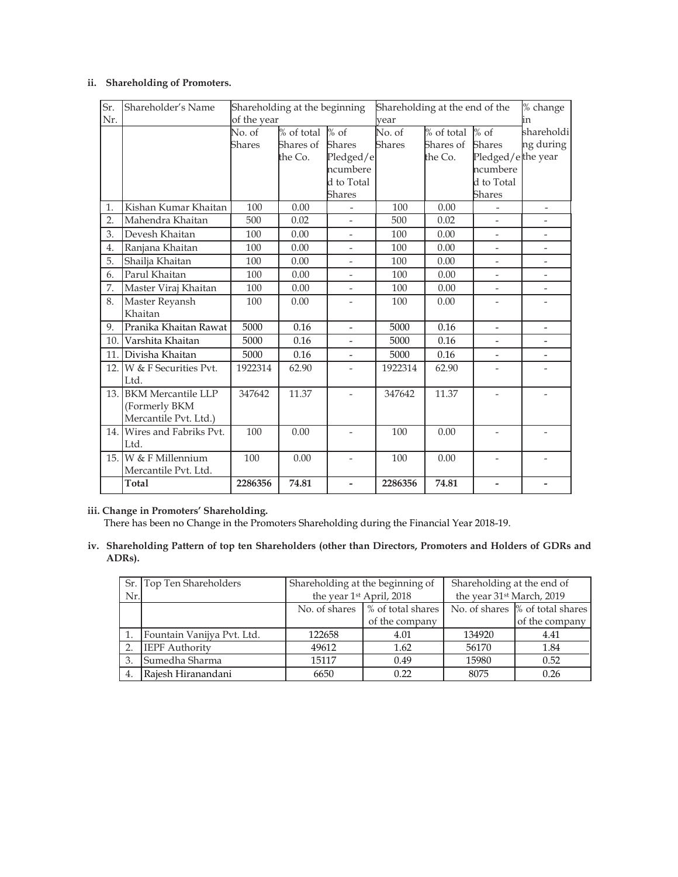#### ii. Shareholding of Promoters.

| Sr.  | Shareholder's Name        | Shareholding at the beginning |            |                          | Shareholding at the end of the |              |                          | % change                 |
|------|---------------------------|-------------------------------|------------|--------------------------|--------------------------------|--------------|--------------------------|--------------------------|
| Nr.  |                           | of the year                   |            |                          | vear                           |              |                          | in                       |
|      |                           | No. of                        | % of total | $%$ of                   | No. of                         | $%$ of total | $%$ of                   | shareholdi               |
|      |                           | Shares                        | Shares of  | <b>Shares</b>            | <b>Shares</b>                  | Shares of    | <b>Shares</b>            | ng during                |
|      |                           |                               | the Co.    | Pledged/e                |                                | the Co.      | Pledged/ethe year        |                          |
|      |                           |                               |            | ncumbere                 |                                |              | ncumbere                 |                          |
|      |                           |                               |            | d to Total               |                                |              | d to Total               |                          |
|      |                           |                               |            | <b>Shares</b>            |                                |              | Shares                   |                          |
| 1.   | Kishan Kumar Khaitan      | 100                           | 0.00       |                          | 100                            | 0.00         |                          |                          |
| 2.   | Mahendra Khaitan          | 500                           | 0.02       |                          | 500                            | 0.02         |                          |                          |
| 3.   | Devesh Khaitan            | 100                           | 0.00       |                          | 100                            | 0.00         |                          |                          |
| 4.   | Ranjana Khaitan           | 100                           | 0.00       |                          | 100                            | 0.00         | $\overline{\phantom{a}}$ | $\overline{\phantom{0}}$ |
| 5.   | Shailja Khaitan           | 100                           | 0.00       | $\overline{\phantom{0}}$ | 100                            | 0.00         | $\overline{\phantom{0}}$ | $\overline{a}$           |
| 6.   | Parul Khaitan             | 100                           | 0.00       | $\overline{\phantom{0}}$ | 100                            | 0.00         | $\overline{a}$           | $\overline{a}$           |
| 7.   | Master Viraj Khaitan      | 100                           | 0.00       |                          | 100                            | 0.00         |                          |                          |
| 8.   | Master Reyansh            | 100                           | 0.00       | $\overline{\phantom{0}}$ | 100                            | 0.00         | $\overline{\phantom{a}}$ | $\overline{\phantom{m}}$ |
|      | Khaitan                   |                               |            |                          |                                |              |                          |                          |
| 9.   | Pranika Khaitan Rawat     | 5000                          | 0.16       | $\overline{\phantom{0}}$ | 5000                           | 0.16         | $\overline{a}$           | $\overline{\phantom{a}}$ |
| 10.  | Varshita Khaitan          | 5000                          | 0.16       |                          | 5000                           | 0.16         |                          |                          |
| 11.  | Divisha Khaitan           | 5000                          | 0.16       | $\overline{\phantom{0}}$ | 5000                           | 0.16         | $\frac{1}{2}$            | $\overline{a}$           |
| 12.1 | W & F Securities Pvt.     | 1922314                       | 62.90      |                          | 1922314                        | 62.90        |                          | $\overline{a}$           |
|      | Ltd.                      |                               |            |                          |                                |              |                          |                          |
| 13.1 | <b>BKM Mercantile LLP</b> | 347642                        | 11.37      |                          | 347642                         | 11.37        |                          |                          |
|      | (Formerly BKM             |                               |            |                          |                                |              |                          |                          |
|      | Mercantile Pvt. Ltd.)     |                               |            |                          |                                |              |                          |                          |
| 14.1 | Wires and Fabriks Pvt.    | 100                           | 0.00       |                          | 100                            | 0.00         |                          |                          |
|      | Ltd.                      |                               |            |                          |                                |              |                          |                          |
| 15.1 | W & F Millennium          | 100                           | 0.00       |                          | 100                            | 0.00         |                          |                          |
|      | Mercantile Pvt. Ltd.      |                               |            |                          |                                |              |                          |                          |
|      | <b>Total</b>              | 2286356                       | 74.81      | $\overline{\phantom{0}}$ | 2286356                        | 74.81        |                          |                          |

#### iii. Change in Promoters' Shareholding.

There has been no Change in the Promoters Shareholding during the Financial Year 2018-19.

iv. Shareholding Pattern of top ten Shareholders (other than Directors, Promoters and Holders of GDRs and ADRs).

|                  | Sr. Top Ten Shareholders   | Shareholding at the beginning of |      | Shareholding at the end of |                                 |  |
|------------------|----------------------------|----------------------------------|------|----------------------------|---------------------------------|--|
| Nr.              |                            | the year 1st April, 2018         |      | the year 31st March, 2019  |                                 |  |
|                  |                            | No. of shares \% of total shares |      |                            | No. of shares % of total shares |  |
|                  |                            | of the company                   |      |                            | of the company                  |  |
|                  | Fountain Vanijya Pvt. Ltd. | 122658                           | 4.01 | 134920                     | 4.41                            |  |
| 2.               | <b>IEPF</b> Authority      | 49612                            | 1.62 | 56170                      | 1.84                            |  |
| 3.               | Sumedha Sharma             | 15117                            | 0.49 | 15980                      | 0.52                            |  |
| $\overline{4}$ . | Raiesh Hiranandani         | 6650                             | 0.22 | 8075                       | 0.26                            |  |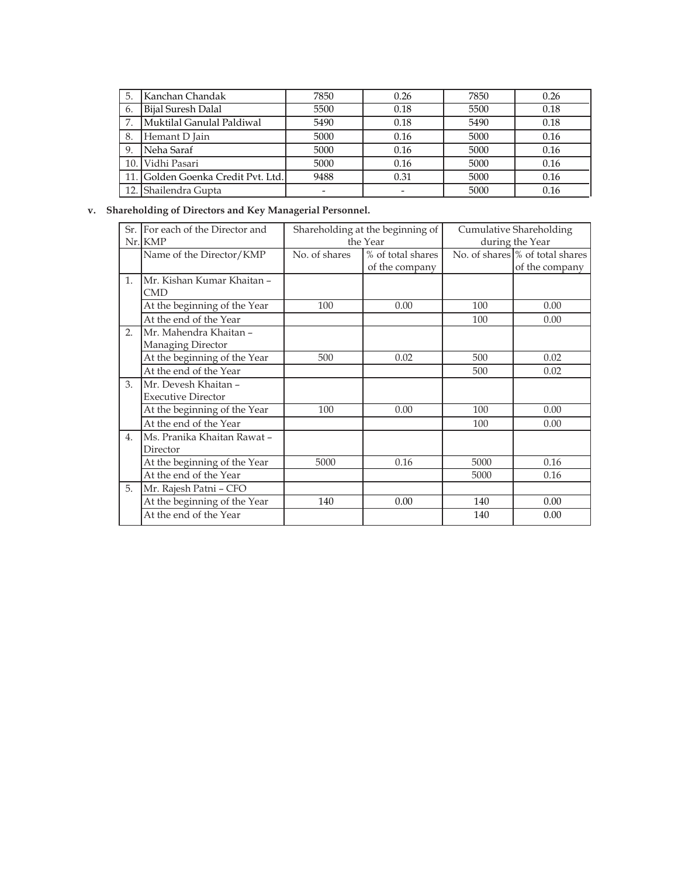| 5.  | Kanchan Chandak                    | 7850 | 0.26 | 7850 | 0.26 |
|-----|------------------------------------|------|------|------|------|
| 6.  | Bijal Suresh Dalal                 | 5500 | 0.18 | 5500 | 0.18 |
|     | Muktilal Ganulal Paldiwal          | 5490 | 0.18 | 5490 | 0.18 |
| 8.  | Hemant D Jain                      | 5000 | 0.16 | 5000 | 0.16 |
| 9.  | Neha Saraf                         | 5000 | 0.16 | 5000 | 0.16 |
| 10. | Vidhi Pasari                       | 5000 | 0.16 | 5000 | 0.16 |
|     | 11. Golden Goenka Credit Pvt. Ltd. | 9488 | 0.31 | 5000 | 0.16 |
| 12. | Shailendra Gupta                   | ۰    |      | 5000 | 0.16 |

## v. Shareholding of Directors and Key Managerial Personnel.

|    | Sr. For each of the Director and |               | Shareholding at the beginning of |      | Cumulative Shareholding         |  |
|----|----------------------------------|---------------|----------------------------------|------|---------------------------------|--|
|    | $Nr.$ KMP                        |               | the Year                         |      | during the Year                 |  |
|    | Name of the Director/KMP         | No. of shares | % of total shares                |      | No. of shares % of total shares |  |
|    |                                  |               | of the company                   |      | of the company                  |  |
| 1. | Mr. Kishan Kumar Khaitan –       |               |                                  |      |                                 |  |
|    | <b>CMD</b>                       |               |                                  |      |                                 |  |
|    | At the beginning of the Year     | 100           | 0.00                             | 100  | 0.00                            |  |
|    | At the end of the Year           |               |                                  | 100  | 0.00                            |  |
| 2. | Mr. Mahendra Khaitan -           |               |                                  |      |                                 |  |
|    | Managing Director                |               |                                  |      |                                 |  |
|    | At the beginning of the Year     | 500           | 0.02                             | 500  | 0.02                            |  |
|    | At the end of the Year           |               |                                  | 500  | 0.02                            |  |
| 3. | Mr. Devesh Khaitan -             |               |                                  |      |                                 |  |
|    | <b>Executive Director</b>        |               |                                  |      |                                 |  |
|    | At the beginning of the Year     | 100           | 0.00                             | 100  | 0.00                            |  |
|    | At the end of the Year           |               |                                  | 100  | 0.00                            |  |
| 4. | Ms. Pranika Khaitan Rawat -      |               |                                  |      |                                 |  |
|    | Director                         |               |                                  |      |                                 |  |
|    | At the beginning of the Year     | 5000          | 0.16                             | 5000 | 0.16                            |  |
|    | At the end of the Year           |               |                                  | 5000 | 0.16                            |  |
| 5. | Mr. Rajesh Patni - CFO           |               |                                  |      |                                 |  |
|    | At the beginning of the Year     | 140           | 0.00                             | 140  | 0.00                            |  |
|    | At the end of the Year           |               |                                  | 140  | 0.00                            |  |
|    |                                  |               |                                  |      |                                 |  |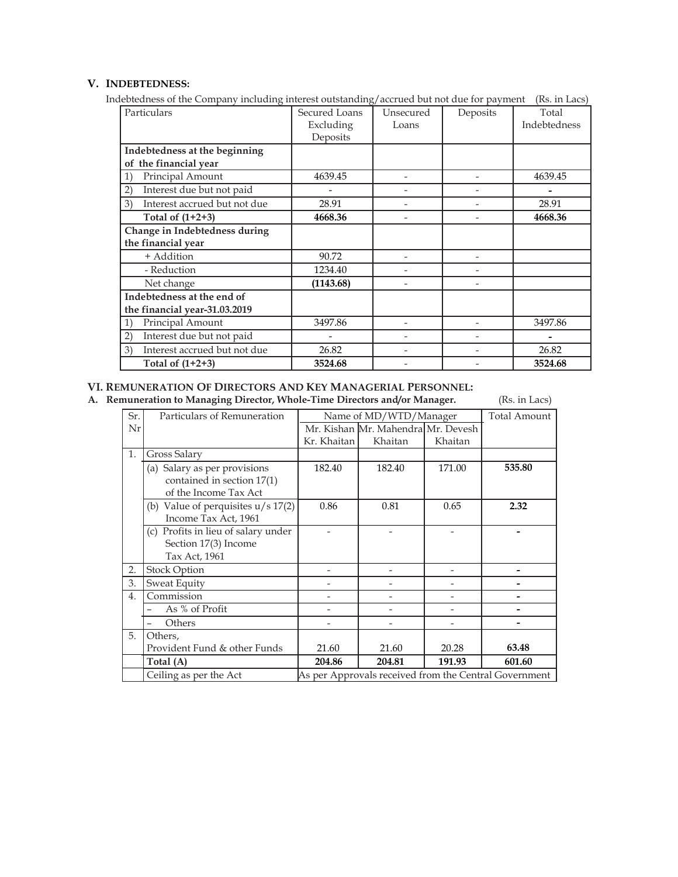# V. INDEBTEDNESS:

Indebtedness of the Company including interest outstanding/accrued but not due for payment (Rs. in Lacs)

| Particulars                                      | Secured Loans | Unsecured      | Deposits | Total        |
|--------------------------------------------------|---------------|----------------|----------|--------------|
|                                                  | Excluding     | Loans          |          | Indebtedness |
|                                                  | Deposits      |                |          |              |
| Indebtedness at the beginning                    |               |                |          |              |
| of the financial year                            |               |                |          |              |
| Principal Amount<br>$\left( \frac{1}{2} \right)$ | 4639.45       |                |          | 4639.45      |
| Interest due but not paid<br>(2)                 |               |                |          |              |
| Interest accrued but not due<br>3)               | 28.91         |                |          | 28.91        |
| Total of $(1+2+3)$                               | 4668.36       |                |          | 4668.36      |
| Change in Indebtedness during                    |               |                |          |              |
| the financial year                               |               |                |          |              |
| + Addition                                       | 90.72         | $\overline{a}$ |          |              |
| - Reduction                                      | 1234.40       |                |          |              |
| Net change                                       | (1143.68)     |                |          |              |
| Indebtedness at the end of                       |               |                |          |              |
| the financial year-31.03.2019                    |               |                |          |              |
| Principal Amount<br>1)                           | 3497.86       |                |          | 3497.86      |
| Interest due but not paid<br>(2)                 |               |                |          |              |
| Interest accrued but not due<br>3)               | 26.82         |                |          | 26.82        |
| Total of $(1+2+3)$                               | 3524.68       |                |          | 3524.68      |

### VI. REMUNERATION OF DIRECTORS AND KEY MANAGERIAL PERSONNEL:

A. Remuneration to Managing Director, Whole-Time Directors and/or Manager. (Rs. in Lacs)

| Sr.              | Particulars of Remuneration          |             | Name of MD/WTD/Manager             |         | <b>Total Amount</b>                                   |
|------------------|--------------------------------------|-------------|------------------------------------|---------|-------------------------------------------------------|
| Nr               |                                      |             | Mr. Kishan Mr. Mahendra Mr. Devesh |         |                                                       |
|                  |                                      | Kr. Khaitan | Khaitan                            | Khaitan |                                                       |
| 1.               | Gross Salary                         |             |                                    |         |                                                       |
|                  | Salary as per provisions<br>(a)      | 182.40      | 182.40                             | 171.00  | 535.80                                                |
|                  | contained in section 17(1)           |             |                                    |         |                                                       |
|                  | of the Income Tax Act                |             |                                    |         |                                                       |
|                  | (b) Value of perquisites $u/s$ 17(2) | 0.86        | 0.81                               | 0.65    | 2.32                                                  |
|                  | Income Tax Act, 1961                 |             |                                    |         |                                                       |
|                  | (c) Profits in lieu of salary under  |             |                                    |         |                                                       |
|                  | Section 17(3) Income                 |             |                                    |         |                                                       |
|                  | Tax Act, 1961                        |             |                                    |         |                                                       |
| 2.               | <b>Stock Option</b>                  |             |                                    |         |                                                       |
| 3.               | Sweat Equity                         |             |                                    |         |                                                       |
| $\overline{4}$ . | Commission                           |             |                                    |         |                                                       |
|                  | As % of Profit                       |             |                                    |         |                                                       |
|                  | Others                               |             |                                    |         |                                                       |
| 5.               | Others,                              |             |                                    |         |                                                       |
|                  | Provident Fund & other Funds         | 21.60       | 21.60                              | 20.28   | 63.48                                                 |
|                  | Total (A)                            | 204.86      | 204.81                             | 191.93  | 601.60                                                |
|                  | Ceiling as per the Act               |             |                                    |         | As per Approvals received from the Central Government |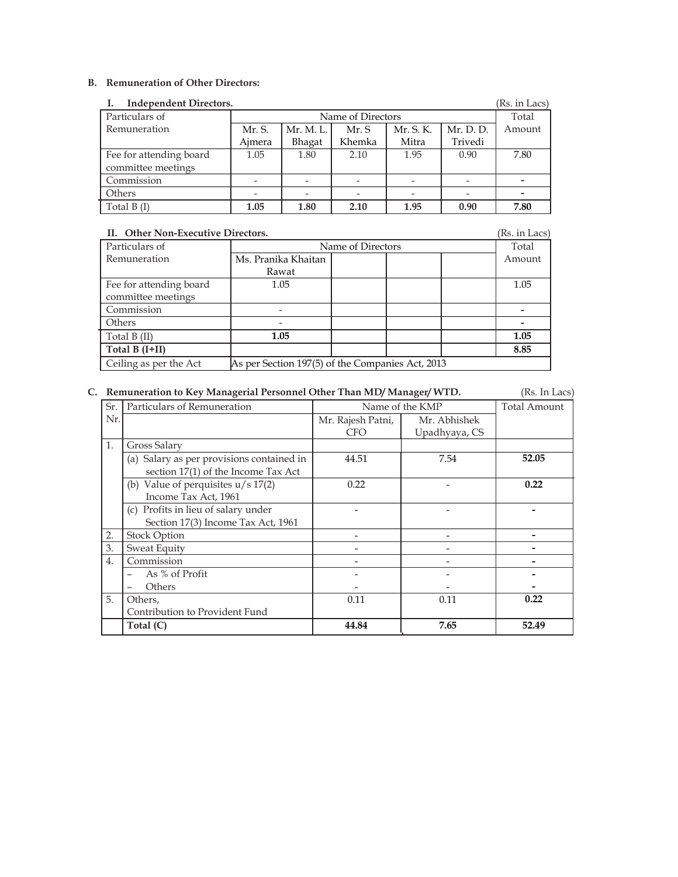### B. Remuneration of Other Directors:

| <b>Independent Directors.</b><br>(Rs. in Lacs) |                                                        |        |        |       |         |      |  |
|------------------------------------------------|--------------------------------------------------------|--------|--------|-------|---------|------|--|
| Particulars of<br>Name of Directors            |                                                        |        |        |       | Total   |      |  |
| Remuneration                                   | Mr. S. K.<br>Mr. D. D.<br>Mr. M. L.<br>Mr. S.<br>Mr. S |        |        |       |         |      |  |
|                                                | Aimera                                                 | Bhagat | Khemka | Mitra | Trivedi |      |  |
| Fee for attending board                        | 1.05                                                   | 1.80   | 2.10   | 1.95  | 0.90    | 7.80 |  |
| committee meetings                             |                                                        |        |        |       |         |      |  |
| Commission                                     |                                                        |        |        |       |         |      |  |
| Others                                         |                                                        |        |        |       |         |      |  |
| Total B (I)                                    | 1.05                                                   | 1.80   | 2.10   | 1.95  | 0.90    | 7.80 |  |

| II. Other Non-Executive Directors. |                                                  |       |        |  |  |  |
|------------------------------------|--------------------------------------------------|-------|--------|--|--|--|
| Particulars of                     | Name of Directors                                | Total |        |  |  |  |
| Remuneration                       | Ms. Pranika Khaitan                              |       | Amount |  |  |  |
|                                    | Rawat                                            |       |        |  |  |  |
| Fee for attending board            | 1.05                                             |       | 1.05   |  |  |  |
| committee meetings                 |                                                  |       |        |  |  |  |
| Commission                         |                                                  |       |        |  |  |  |
| Others                             |                                                  |       |        |  |  |  |
| Total $B(II)$                      | 1.05                                             |       | 1.05   |  |  |  |
| Total B $(I+II)$                   |                                                  |       | 8.85   |  |  |  |
| Ceiling as per the Act             | As per Section 197(5) of the Companies Act, 2013 |       |        |  |  |  |

### C. Remuneration to Key Managerial Personnel Other Than MD/ Manager/ WTD. (Rs. In Lacs)

| Sr.              | Particulars of Remuneration               | Name of the KMP   |               | <b>Total Amount</b> |
|------------------|-------------------------------------------|-------------------|---------------|---------------------|
| Nr.              |                                           | Mr. Rajesh Patni, | Mr. Abhishek  |                     |
|                  |                                           | <b>CFO</b>        | Upadhyaya, CS |                     |
| $\mathbf{1}$ .   | Gross Salary                              |                   |               |                     |
|                  | (a) Salary as per provisions contained in | 44.51             | 7.54          | 52.05               |
|                  | section 17(1) of the Income Tax Act       |                   |               |                     |
|                  | (b) Value of perquisites $u/s$ 17(2)      | 0.22              |               | 0.22                |
|                  | Income Tax Act, 1961                      |                   |               |                     |
|                  | (c) Profits in lieu of salary under       |                   |               |                     |
|                  | Section 17(3) Income Tax Act, 1961        |                   |               |                     |
| 2.               | <b>Stock Option</b>                       |                   |               |                     |
| 3.               | Sweat Equity                              |                   |               |                     |
| $\overline{4}$ . | Commission                                |                   |               |                     |
|                  | As % of Profit                            |                   |               |                     |
|                  | Others                                    |                   |               |                     |
| 5.               | Others.                                   | 0.11              | 0.11          | 0.22                |
|                  | Contribution to Provident Fund            |                   |               |                     |
|                  | Total $(C)$                               | 44.84             | 7.65          | 52.49               |